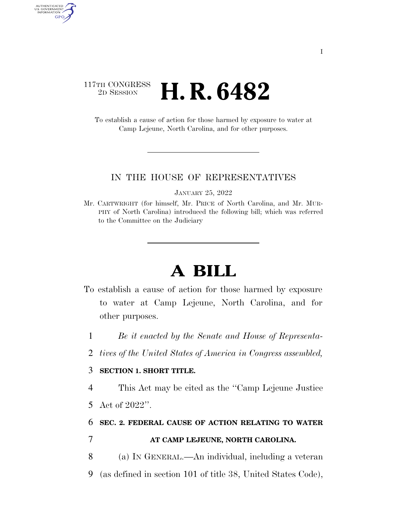### 117TH CONGRESS <sup>2D SESSION</sup> **H. R. 6482**

AUTHENTICATED<br>U.S. GOVERNMENT<br>INFORMATION

GPO

To establish a cause of action for those harmed by exposure to water at Camp Lejeune, North Carolina, and for other purposes.

#### IN THE HOUSE OF REPRESENTATIVES

JANUARY 25, 2022

Mr. CARTWRIGHT (for himself, Mr. PRICE of North Carolina, and Mr. MUR-PHY of North Carolina) introduced the following bill; which was referred to the Committee on the Judiciary

# **A BILL**

- To establish a cause of action for those harmed by exposure to water at Camp Lejeune, North Carolina, and for other purposes.
	- 1 *Be it enacted by the Senate and House of Representa-*
	- 2 *tives of the United States of America in Congress assembled,*

### 3 **SECTION 1. SHORT TITLE.**

4 This Act may be cited as the ''Camp Lejeune Justice

5 Act of 2022''.

## 6 **SEC. 2. FEDERAL CAUSE OF ACTION RELATING TO WATER**  7 **AT CAMP LEJEUNE, NORTH CAROLINA.**

- 8 (a) IN GENERAL.—An individual, including a veteran
- 9 (as defined in section 101 of title 38, United States Code),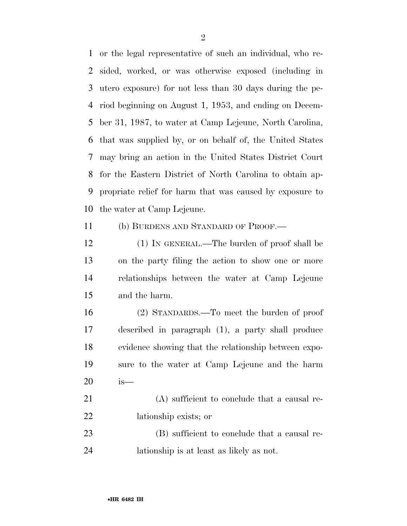or the legal representative of such an individual, who re- sided, worked, or was otherwise exposed (including in utero exposure) for not less than 30 days during the pe- riod beginning on August 1, 1953, and ending on Decem- ber 31, 1987, to water at Camp Lejeune, North Carolina, that was supplied by, or on behalf of, the United States may bring an action in the United States District Court for the Eastern District of North Carolina to obtain ap- propriate relief for harm that was caused by exposure to the water at Camp Lejeune.

11 (b) BURDENS AND STANDARD OF PROOF.—

 (1) IN GENERAL.—The burden of proof shall be on the party filing the action to show one or more relationships between the water at Camp Lejeune and the harm.

 (2) STANDARDS.—To meet the burden of proof described in paragraph (1), a party shall produce evidence showing that the relationship between expo- sure to the water at Camp Lejeune and the harm is—

21 (A) sufficient to conclude that a causal re-lationship exists; or

23 (B) sufficient to conclude that a causal re-lationship is at least as likely as not.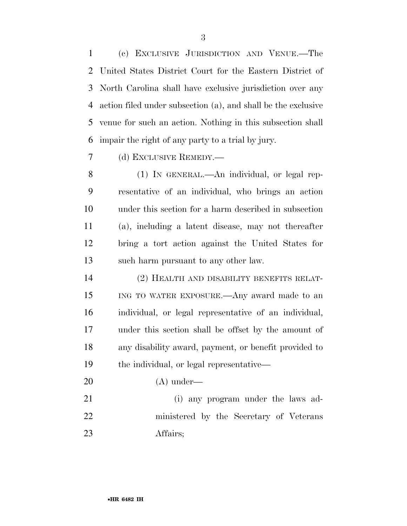(c) EXCLUSIVE JURISDICTION AND VENUE.—The United States District Court for the Eastern District of North Carolina shall have exclusive jurisdiction over any action filed under subsection (a), and shall be the exclusive venue for such an action. Nothing in this subsection shall impair the right of any party to a trial by jury.

(d) EXCLUSIVE REMEDY.—

 (1) IN GENERAL.—An individual, or legal rep- resentative of an individual, who brings an action under this section for a harm described in subsection (a), including a latent disease, may not thereafter bring a tort action against the United States for such harm pursuant to any other law.

 (2) HEALTH AND DISABILITY BENEFITS RELAT- ING TO WATER EXPOSURE.—Any award made to an individual, or legal representative of an individual, under this section shall be offset by the amount of any disability award, payment, or benefit provided to the individual, or legal representative—

(A) under—

 (i) any program under the laws ad- ministered by the Secretary of Veterans Affairs;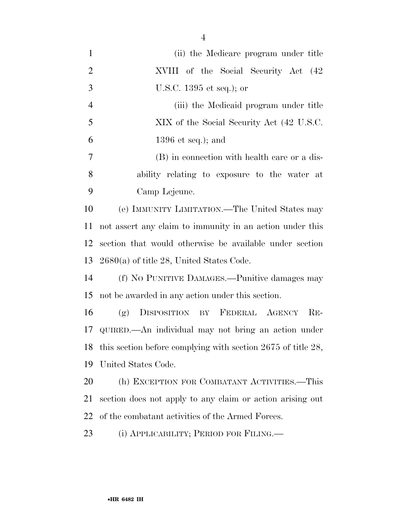| $\mathbf{1}$   | (ii) the Medicare program under title                             |
|----------------|-------------------------------------------------------------------|
| $\overline{2}$ | XVIII of the Social Security Act (42)                             |
| 3              | U.S.C. $1395$ et seq.); or                                        |
| $\overline{4}$ | (iii) the Medicaid program under title                            |
| 5              | XIX of the Social Security Act (42 U.S.C.)                        |
| 6              | 1396 et seq.); and                                                |
| 7              | (B) in connection with health care or a dis-                      |
| 8              | ability relating to exposure to the water at                      |
| 9              | Camp Lejeune.                                                     |
| 10             | (e) IMMUNITY LIMITATION.—The United States may                    |
| 11             | not assert any claim to immunity in an action under this          |
| 12             | section that would otherwise be available under section           |
| 13             | $2680(a)$ of title 28, United States Code.                        |
| 14             | (f) NO PUNITIVE DAMAGES.—Punitive damages may                     |
| 15             | not be awarded in any action under this section.                  |
| 16             | (g) DISPOSITION BY FEDERAL AGENCY RE-                             |
| 17             | QUIRED.—An individual may not bring an action under               |
| 18             | this section before complying with section $2675$ of title $28$ , |
| 19             | United States Code.                                               |
| 20             | (h) EXCEPTION FOR COMBATANT ACTIVITIES.—This                      |
| 21             | section does not apply to any claim or action arising out         |
| 22             | of the combatant activities of the Armed Forces.                  |
|                |                                                                   |

(i) APPLICABILITY; PERIOD FOR FILING.—